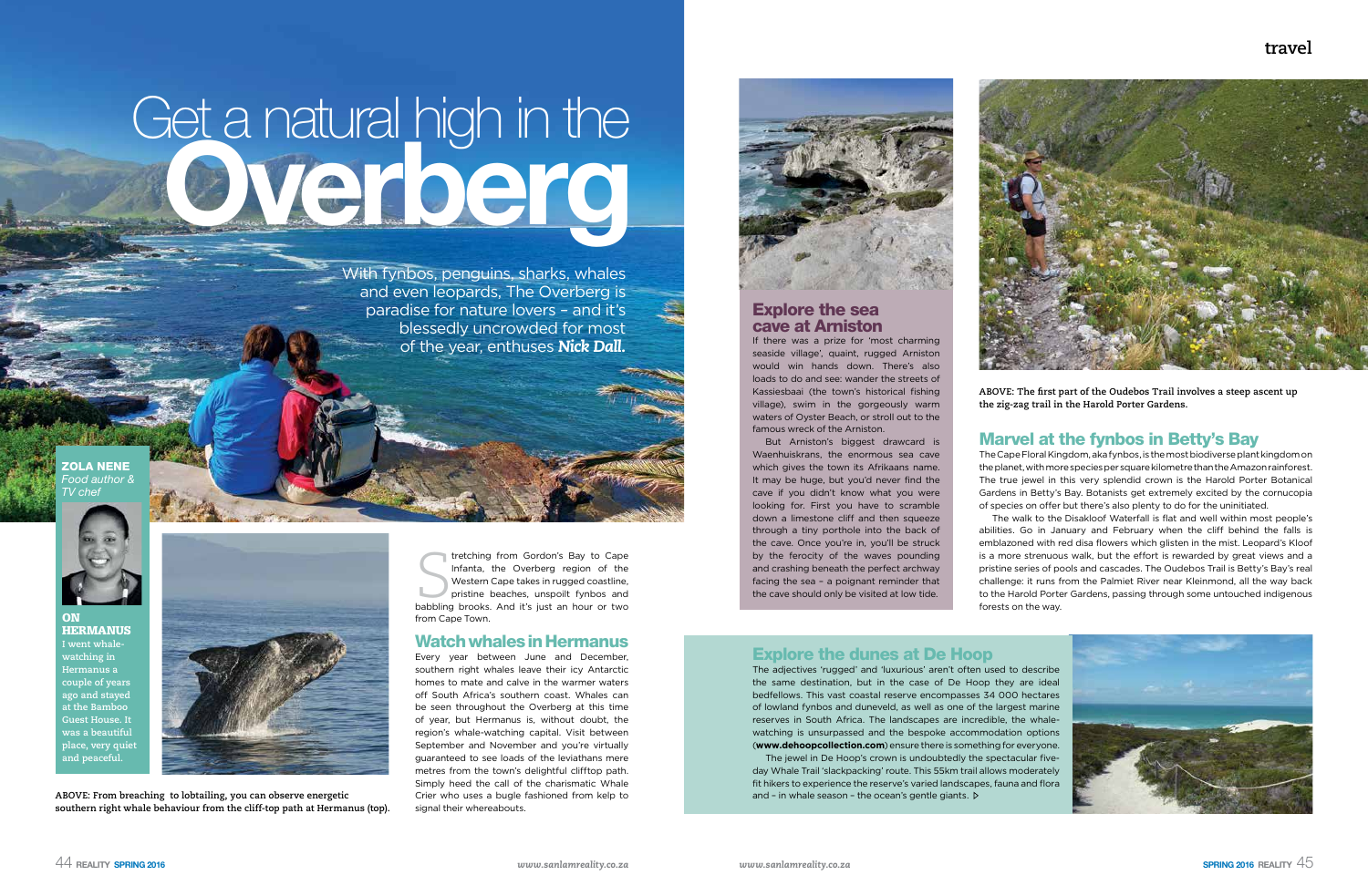# **travel**



# Get a natural high in the Overberg

With fynbos, penguins, sharks, whales and even leopards, The Overberg is paradise for nature lovers – and it's blessedly uncrowded for most of the year, enthuses *Nick Dall.*

> tretching from Gordon's Bay to Cape<br>Infanta, the Overberg region of the<br>Western Cape takes in rugged coastline,<br>pristine beaches, unspoilt fynbos and<br>babbling brooks. And it's just an hour or two tretching from Gordon's Bay to Cape Infanta, the Overberg region of the Western Cape takes in rugged coastline, pristine beaches, unspoilt fynbos and from Cape Town.

Every year between June and December, southern right whales leave their icy Antarctic homes to mate and calve in the warmer waters off South Africa's southern coast. Whales can be seen throughout the Overberg at this time of year, but Hermanus is, without doubt, the region's whale-watching capital. Visit between September and November and you're virtually guaranteed to see loads of the leviathans mere metres from the town's delightful clifftop path. Simply heed the call of the charismatic Whale Crier who uses a bugle fashioned from kelp to signal their whereabouts.



#### Watch whales in Hermanus

ON **HERMANUS I went whalewatching in Hermanus a couple of years ago and stayed at the Bamboo Guest House. It was a beautiful**  place, very quie **and peaceful.**



ZOLA NENE *Food author & TV chef*



**ABOVE: From breaching to lobtailing, you can observe energetic southern right whale behaviour from the cliff-top path at Hermanus (top).**  **ABOVE: The first part of the Oudebos Trail involves a steep ascent up the zig-zag trail in the Harold Porter Gardens.**

## Marvel at the fynbos in Betty's Bay

The Cape Floral Kingdom, aka fynbos, is the most biodiverse plant kingdom on the planet, with more species per square kilometre than the Amazon rainforest. The true jewel in this very splendid crown is the Harold Porter Botanical Gardens in Betty's Bay. Botanists get extremely excited by the cornucopia of species on offer but there's also plenty to do for the uninitiated.

The jewel in De Hoop's crown is undoubtedly the spectacular fiveday Whale Trail 'slackpacking' route. This 55km trail allows moderately fit hikers to experience the reserve's varied landscapes, fauna and flora and - in whale season - the ocean's gentle giants.  $\triangleright$ 

The walk to the Disakloof Waterfall is flat and well within most people's abilities. Go in January and February when the cliff behind the falls is emblazoned with red disa flowers which glisten in the mist. Leopard's Kloof is a more strenuous walk, but the effort is rewarded by great views and a pristine series of pools and cascades. The Oudebos Trail is Betty's Bay's real challenge: it runs from the Palmiet River near Kleinmond, all the way back to the Harold Porter Gardens, passing through some untouched indigenous



forests on the way.

#### Explore the sea cave at Arniston

If there was a prize for 'most charming seaside village', quaint, rugged Arniston would win hands down. There's also loads to do and see: wander the streets of Kassiesbaai (the town's historical fishing village), swim in the gorgeously warm waters of Oyster Beach, or stroll out to the famous wreck of the Arniston.

But Arniston's biggest drawcard is Waenhuiskrans, the enormous sea cave which gives the town its Afrikaans name. It may be huge, but you'd never find the cave if you didn't know what you were looking for. First you have to scramble down a limestone cliff and then squeeze through a tiny porthole into the back of the cave. Once you're in, you'll be struck by the ferocity of the waves pounding and crashing beneath the perfect archway facing the sea – a poignant reminder that the cave should only be visited at low tide.



# Explore the dunes at De Hoop

The adjectives 'rugged' and 'luxurious' aren't often used to describe the same destination, but in the case of De Hoop they are ideal bedfellows. This vast coastal reserve encompasses 34 000 hectares of lowland fynbos and duneveld, as well as one of the largest marine reserves in South Africa. The landscapes are incredible, the whalewatching is unsurpassed and the bespoke accommodation options (**www.dehoopcollection.com**) ensure there is something for everyone.